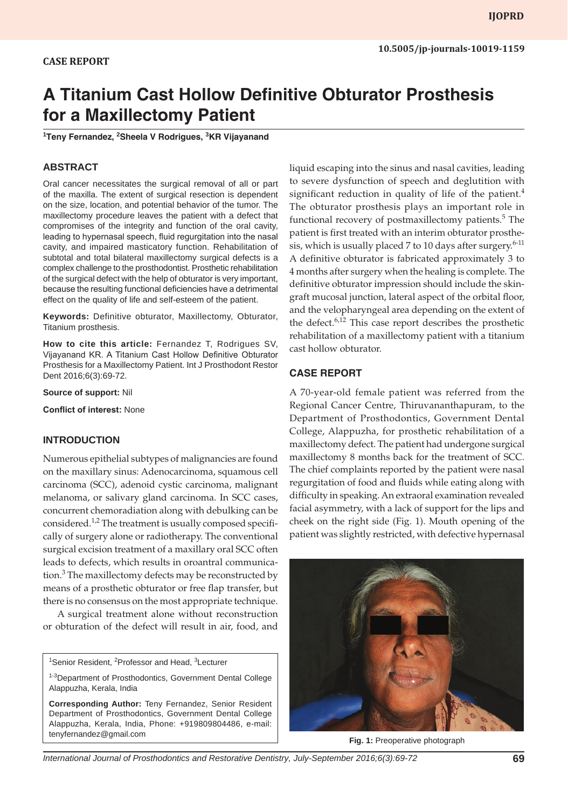## **CASE REPORT**

# **A Titanium Cast Hollow Definitive Obturator Prosthesis for a Maxillectomy Patient**

**1 Teny Fernandez, <sup>2</sup> Sheela V Rodrigues, <sup>3</sup> KR Vijayanand**

### **ABSTRACT**

Oral cancer necessitates the surgical removal of all or part of the maxilla. The extent of surgical resection is dependent on the size, location, and potential behavior of the tumor. The maxillectomy procedure leaves the patient with a defect that compromises of the integrity and function of the oral cavity, leading to hypernasal speech, fluid regurgitation into the nasal cavity, and impaired masticatory function. Rehabilitation of subtotal and total bilateral maxillectomy surgical defects is a complex challenge to the prosthodontist. Prosthetic rehabilitation of the surgical defect with the help of obturator is very important, because the resulting functional deficiencies have a detrimental effect on the quality of life and self-esteem of the patient.

**Keywords:** Definitive obturator, Maxillectomy, Obturator, Titanium prosthesis.

**How to cite this article:** Fernandez T, Rodrigues SV, Vijayanand KR. A Titanium Cast Hollow Definitive Obturator Prosthesis for a Maxillectomy Patient. Int J Prosthodont Restor Dent 2016;6(3):69-72.

**Source of support:** Nil

**Conflict of interest:** None

#### **INTRODUCTION**

Numerous epithelial subtypes of malignancies are found on the maxillary sinus: Adenocarcinoma, squamous cell carcinoma (SCC), adenoid cystic carcinoma, malignant melanoma, or salivary gland carcinoma. In SCC cases, concurrent chemoradiation along with debulking can be considered.<sup>1,2</sup> The treatment is usually composed specifically of surgery alone or radiotherapy. The conventional surgical excision treatment of a maxillary oral SCC often leads to defects, which results in oroantral communication.<sup>3</sup> The maxillectomy defects may be reconstructed by means of a prosthetic obturator or free flap transfer, but there is no consensus on the most appropriate technique.

A surgical treatment alone without reconstruction or obturation of the defect will result in air, food, and

<sup>1</sup>Senior Resident, <sup>2</sup>Professor and Head, <sup>3</sup>Lecturer

liquid escaping into the sinus and nasal cavities, leading to severe dysfunction of speech and deglutition with significant reduction in quality of life of the patient.<sup>4</sup> The obturator prosthesis plays an important role in functional recovery of postmaxillectomy patients.<sup>5</sup> The patient is first treated with an interim obturator prosthesis, which is usually placed 7 to 10 days after surgery. $6-11$ A definitive obturator is fabricated approximately 3 to 4 months after surgery when the healing is complete. The definitive obturator impression should include the skingraft mucosal junction, lateral aspect of the orbital floor, and the velopharyngeal area depending on the extent of the defect. $6,12$  This case report describes the prosthetic rehabilitation of a maxillectomy patient with a titanium cast hollow obturator.

#### **CASE REPORT**

A 70-year-old female patient was referred from the Regional Cancer Centre, Thiruvananthapuram, to the Department of Prosthodontics, Government Dental College, Alappuzha, for prosthetic rehabilitation of a maxillectomy defect. The patient had undergone surgical maxillectomy 8 months back for the treatment of SCC. The chief complaints reported by the patient were nasal regurgitation of food and fluids while eating along with difficulty in speaking. An extraoral examination revealed facial asymmetry, with a lack of support for the lips and cheek on the right side (Fig. 1). Mouth opening of the patient was slightly restricted, with defective hypernasal



**Fig. 1:** Preoperative photograph

*International Journal of Prosthodontics and Restorative Dentistry, July-September 2016;6(3):69-72* **69**

<sup>&</sup>lt;sup>1-3</sup>Department of Prosthodontics, Government Dental College Alappuzha, Kerala, India

**Corresponding Author:** Teny Fernandez, Senior Resident Department of Prosthodontics, Government Dental College Alappuzha, Kerala, India, Phone: +919809804486, e-mail: tenyfernandez@gmail.com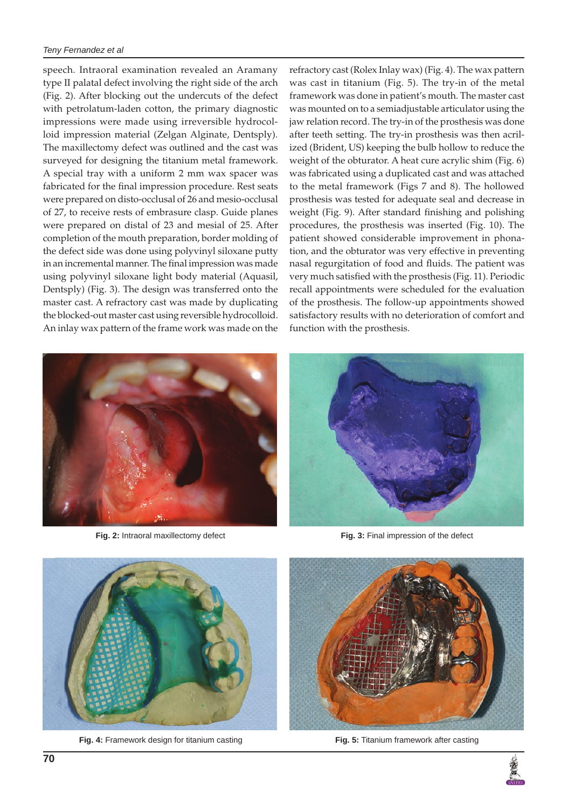#### *Teny Fernandez et al*

speech. Intraoral examination revealed an Aramany type II palatal defect involving the right side of the arch (Fig. 2). After blocking out the undercuts of the defect with petrolatum-laden cotton, the primary diagnostic impressions were made using irreversible hydrocolloid impression material (Zelgan Alginate, Dentsply). The maxillectomy defect was outlined and the cast was surveyed for designing the titanium metal framework. A special tray with a uniform 2 mm wax spacer was fabricated for the final impression procedure. Rest seats were prepared on disto-occlusal of 26 and mesio-occlusal of 27, to receive rests of embrasure clasp. Guide planes were prepared on distal of 23 and mesial of 25. After completion of the mouth preparation, border molding of the defect side was done using polyvinyl siloxane putty in an incremental manner. The final impression was made using polyvinyl siloxane light body material (Aquasil, Dentsply) (Fig. 3). The design was transferred onto the master cast. A refractory cast was made by duplicating the blocked-out master cast using reversible hydrocolloid. An inlay wax pattern of the frame work was made on the





**Fig. 2:** Intraoral maxillectomy defect **Fig. 3:** Final impression of the defect





**Fig. 4:** Framework design for titanium casting **Fig. 5:** Titanium framework after casting



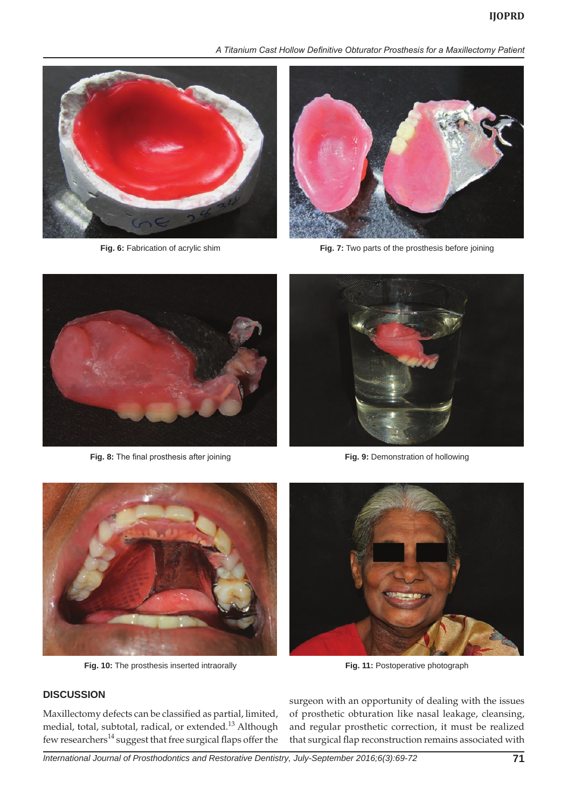*A Titanium Cast Hollow Definitive Obturator Prosthesis for a Maxillectomy Patient*





**Fig. 6:** Fabrication of acrylic shim **Fig. 7:** Two parts of the prosthesis before joining



**Fig. 8:** The final prosthesis after joining **Fig. 9:** Demonstration of hollowing





**Fig. 10:** The prosthesis inserted intraorally **Fig. 11:** Postoperative photograph

**DISCUSSION**



Maxillectomy defects can be classified as partial, limited, medial, total, subtotal, radical, or extended.13 Although few researchers<sup>14</sup> suggest that free surgical flaps offer the surgeon with an opportunity of dealing with the issues of prosthetic obturation like nasal leakage, cleansing, and regular prosthetic correction, it must be realized that surgical flap reconstruction remains associated with